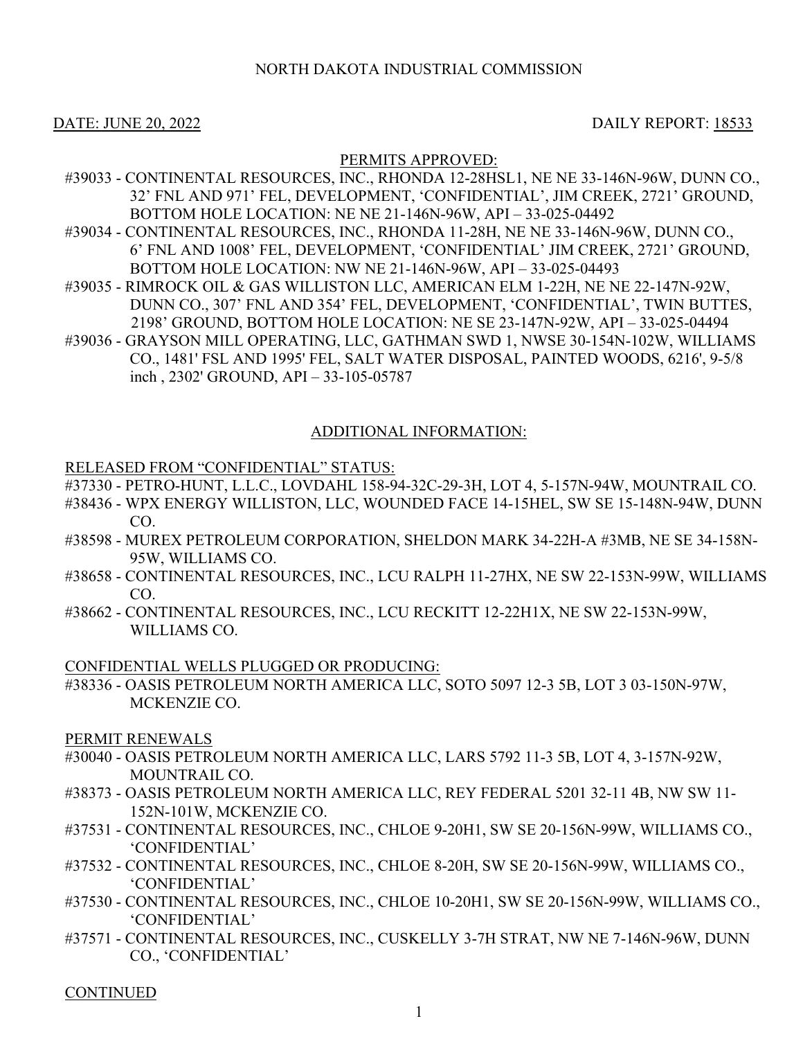# NORTH DAKOTA INDUSTRIAL COMMISSION

### DATE: JUNE 20, 2022 DAILY REPORT: 18533

#### PERMITS APPROVED:

- #39033 CONTINENTAL RESOURCES, INC., RHONDA 12-28HSL1, NE NE 33-146N-96W, DUNN CO., 32' FNL AND 971' FEL, DEVELOPMENT, 'CONFIDENTIAL', JIM CREEK, 2721' GROUND, BOTTOM HOLE LOCATION: NE NE 21-146N-96W, API – 33-025-04492
- #39034 CONTINENTAL RESOURCES, INC., RHONDA 11-28H, NE NE 33-146N-96W, DUNN CO., 6' FNL AND 1008' FEL, DEVELOPMENT, 'CONFIDENTIAL' JIM CREEK, 2721' GROUND, BOTTOM HOLE LOCATION: NW NE 21-146N-96W, API – 33-025-04493
- #39035 RIMROCK OIL & GAS WILLISTON LLC, AMERICAN ELM 1-22H, NE NE 22-147N-92W, DUNN CO., 307' FNL AND 354' FEL, DEVELOPMENT, 'CONFIDENTIAL', TWIN BUTTES, 2198' GROUND, BOTTOM HOLE LOCATION: NE SE 23-147N-92W, API – 33-025-04494
- #39036 GRAYSON MILL OPERATING, LLC, GATHMAN SWD 1, NWSE 30-154N-102W, WILLIAMS CO., 1481' FSL AND 1995' FEL, SALT WATER DISPOSAL, PAINTED WOODS, 6216', 9-5/8 inch , 2302' GROUND, API – 33-105-05787

# ADDITIONAL INFORMATION:

#### RELEASED FROM "CONFIDENTIAL" STATUS:

- #37330 PETRO-HUNT, L.L.C., LOVDAHL 158-94-32C-29-3H, LOT 4, 5-157N-94W, MOUNTRAIL CO.
- #38436 WPX ENERGY WILLISTON, LLC, WOUNDED FACE 14-15HEL, SW SE 15-148N-94W, DUNN CO.
- #38598 MUREX PETROLEUM CORPORATION, SHELDON MARK 34-22H-A #3MB, NE SE 34-158N-95W, WILLIAMS CO.
- #38658 CONTINENTAL RESOURCES, INC., LCU RALPH 11-27HX, NE SW 22-153N-99W, WILLIAMS CO.
- #38662 CONTINENTAL RESOURCES, INC., LCU RECKITT 12-22H1X, NE SW 22-153N-99W, WILLIAMS CO.

#### CONFIDENTIAL WELLS PLUGGED OR PRODUCING:

#38336 - OASIS PETROLEUM NORTH AMERICA LLC, SOTO 5097 12-3 5B, LOT 3 03-150N-97W, MCKENZIE CO.

#### PERMIT RENEWALS

- #30040 OASIS PETROLEUM NORTH AMERICA LLC, LARS 5792 11-3 5B, LOT 4, 3-157N-92W, MOUNTRAIL CO.
- #38373 OASIS PETROLEUM NORTH AMERICA LLC, REY FEDERAL 5201 32-11 4B, NW SW 11- 152N-101W, MCKENZIE CO.
- #37531 CONTINENTAL RESOURCES, INC., CHLOE 9-20H1, SW SE 20-156N-99W, WILLIAMS CO., 'CONFIDENTIAL'
- #37532 CONTINENTAL RESOURCES, INC., CHLOE 8-20H, SW SE 20-156N-99W, WILLIAMS CO., 'CONFIDENTIAL'
- #37530 CONTINENTAL RESOURCES, INC., CHLOE 10-20H1, SW SE 20-156N-99W, WILLIAMS CO., 'CONFIDENTIAL'
- #37571 CONTINENTAL RESOURCES, INC., CUSKELLY 3-7H STRAT, NW NE 7-146N-96W, DUNN CO., 'CONFIDENTIAL'

**CONTINUED**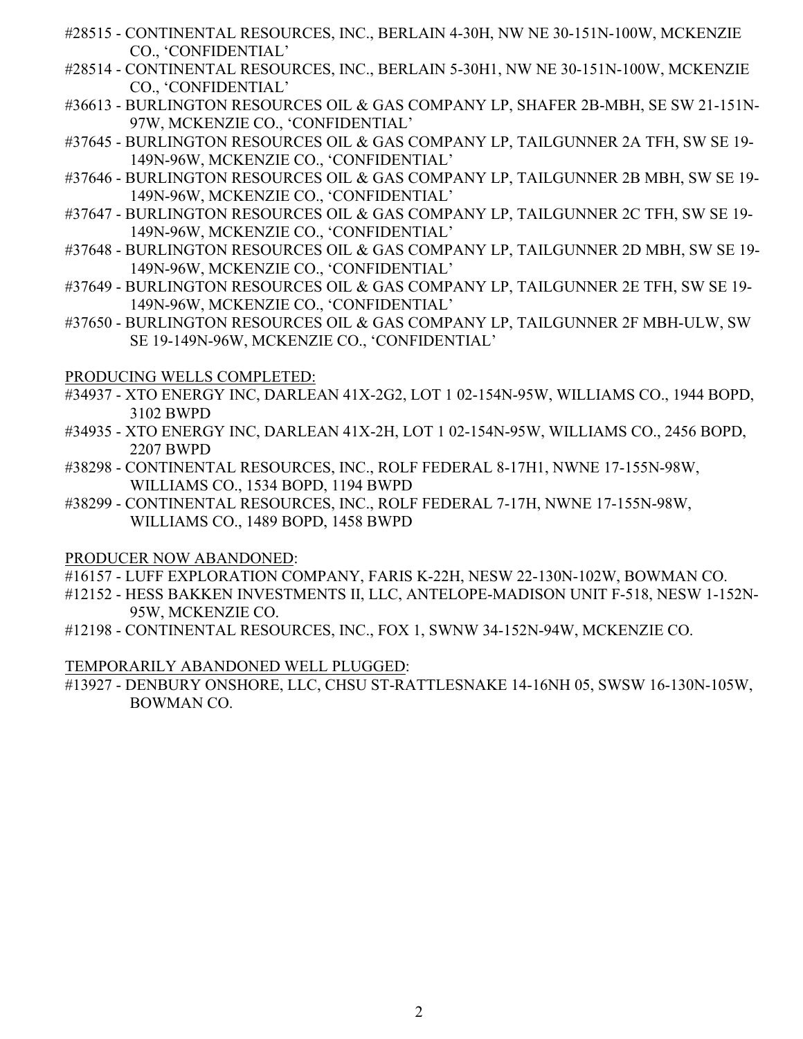- #28515 CONTINENTAL RESOURCES, INC., BERLAIN 4-30H, NW NE 30-151N-100W, MCKENZIE CO., 'CONFIDENTIAL'
- #28514 CONTINENTAL RESOURCES, INC., BERLAIN 5-30H1, NW NE 30-151N-100W, MCKENZIE CO., 'CONFIDENTIAL'
- #36613 BURLINGTON RESOURCES OIL & GAS COMPANY LP, SHAFER 2B-MBH, SE SW 21-151N-97W, MCKENZIE CO., 'CONFIDENTIAL'
- #37645 BURLINGTON RESOURCES OIL & GAS COMPANY LP, TAILGUNNER 2A TFH, SW SE 19- 149N-96W, MCKENZIE CO., 'CONFIDENTIAL'
- #37646 BURLINGTON RESOURCES OIL & GAS COMPANY LP, TAILGUNNER 2B MBH, SW SE 19- 149N-96W, MCKENZIE CO., 'CONFIDENTIAL'
- #37647 BURLINGTON RESOURCES OIL & GAS COMPANY LP, TAILGUNNER 2C TFH, SW SE 19- 149N-96W, MCKENZIE CO., 'CONFIDENTIAL'
- #37648 BURLINGTON RESOURCES OIL & GAS COMPANY LP, TAILGUNNER 2D MBH, SW SE 19- 149N-96W, MCKENZIE CO., 'CONFIDENTIAL'
- #37649 BURLINGTON RESOURCES OIL & GAS COMPANY LP, TAILGUNNER 2E TFH, SW SE 19- 149N-96W, MCKENZIE CO., 'CONFIDENTIAL'
- #37650 BURLINGTON RESOURCES OIL & GAS COMPANY LP, TAILGUNNER 2F MBH-ULW, SW SE 19-149N-96W, MCKENZIE CO., 'CONFIDENTIAL'

# PRODUCING WELLS COMPLETED:

- #34937 XTO ENERGY INC, DARLEAN 41X-2G2, LOT 1 02-154N-95W, WILLIAMS CO., 1944 BOPD, 3102 BWPD
- #34935 XTO ENERGY INC, DARLEAN 41X-2H, LOT 1 02-154N-95W, WILLIAMS CO., 2456 BOPD, 2207 BWPD
- #38298 CONTINENTAL RESOURCES, INC., ROLF FEDERAL 8-17H1, NWNE 17-155N-98W, WILLIAMS CO., 1534 BOPD, 1194 BWPD
- #38299 CONTINENTAL RESOURCES, INC., ROLF FEDERAL 7-17H, NWNE 17-155N-98W, WILLIAMS CO., 1489 BOPD, 1458 BWPD

# PRODUCER NOW ABANDONED:

- #16157 LUFF EXPLORATION COMPANY, FARIS K-22H, NESW 22-130N-102W, BOWMAN CO.
- #12152 HESS BAKKEN INVESTMENTS II, LLC, ANTELOPE-MADISON UNIT F-518, NESW 1-152N-95W, MCKENZIE CO.
- #12198 CONTINENTAL RESOURCES, INC., FOX 1, SWNW 34-152N-94W, MCKENZIE CO.

# TEMPORARILY ABANDONED WELL PLUGGED:

#13927 - DENBURY ONSHORE, LLC, CHSU ST-RATTLESNAKE 14-16NH 05, SWSW 16-130N-105W, BOWMAN CO.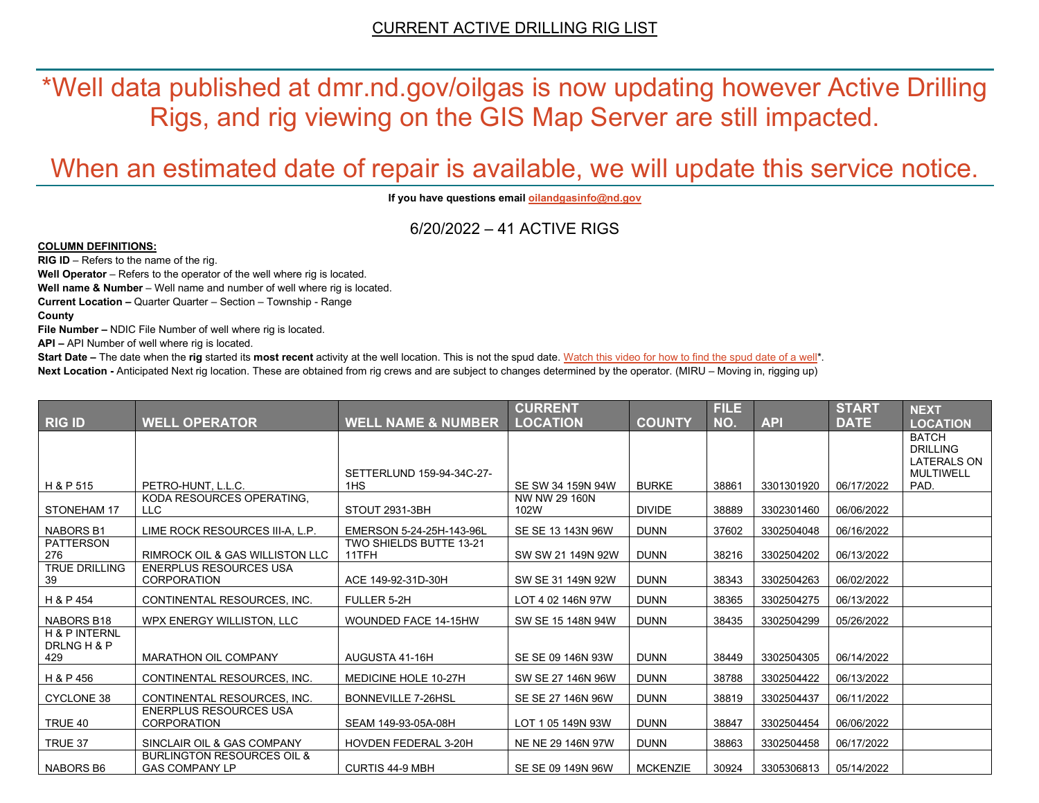\*Well data published at dmr.nd.gov/oilgas is now updating however Active Drilling Rigs, and rig viewing on the GIS Map Server are still impacted.

# When an estimated date of repair is available, we will update this service notice.

**If you have questions emai[l oilandgasinfo@nd.gov](mailto:oilandgasinfo@nd.gov)**

6/20/2022 – 41 ACTIVE RIGS

#### **COLUMN DEFINITIONS:**

**RIG ID** – Refers to the name of the rig.

**Well Operator** – Refers to the operator of the well where rig is located.

**Well name & Number** – Well name and number of well where rig is located.

**Current Location –** Quarter Quarter – Section – Township - Range

**County**

**File Number –** NDIC File Number of well where rig is located.

**API –** API Number of well where rig is located.

**Start Date** – The date when the **rig** started its most recent activity at the well location. This is not the spud date. Watch this video for how [to find the spud date of a well\\*](https://youtu.be/JjWwzuuMVpM). **Next Location -** Anticipated Next rig location. These are obtained from rig crews and are subject to changes determined by the operator. (MIRU – Moving in, rigging up)

|                                         |                                                                |                                  | <b>CURRENT</b>        |                 | <b>FILE</b> |            | <b>START</b> | <b>NEXT</b>                            |
|-----------------------------------------|----------------------------------------------------------------|----------------------------------|-----------------------|-----------------|-------------|------------|--------------|----------------------------------------|
| <b>RIG ID</b>                           | <b>WELL OPERATOR</b>                                           | <b>WELL NAME &amp; NUMBER</b>    | <b>LOCATION</b>       | <b>COUNTY</b>   | NO.         | <b>API</b> | <b>DATE</b>  | <b>LOCATION</b>                        |
|                                         |                                                                |                                  |                       |                 |             |            |              | <b>BATCH</b><br><b>DRILLING</b>        |
|                                         |                                                                | SETTERLUND 159-94-34C-27-        |                       |                 |             |            |              | <b>LATERALS ON</b><br><b>MULTIWELL</b> |
| H & P 515                               | PETRO-HUNT, L.L.C.                                             | 1H <sub>S</sub>                  | SE SW 34 159N 94W     | <b>BURKE</b>    | 38861       | 3301301920 | 06/17/2022   | PAD.                                   |
| STONEHAM 17                             | KODA RESOURCES OPERATING,<br><b>LLC</b>                        | STOUT 2931-3BH                   | NW NW 29 160N<br>102W | <b>DIVIDE</b>   | 38889       | 3302301460 | 06/06/2022   |                                        |
| <b>NABORS B1</b>                        | LIME ROCK RESOURCES III-A, L.P.                                | EMERSON 5-24-25H-143-96L         | SE SE 13 143N 96W     | <b>DUNN</b>     | 37602       | 3302504048 | 06/16/2022   |                                        |
| <b>PATTERSON</b><br>276                 | <b>RIMROCK OIL &amp; GAS WILLISTON LLC</b>                     | TWO SHIELDS BUTTE 13-21<br>11TFH | SW SW 21 149N 92W     | <b>DUNN</b>     | 38216       | 3302504202 | 06/13/2022   |                                        |
| <b>TRUE DRILLING</b><br>39              | <b>ENERPLUS RESOURCES USA</b><br><b>CORPORATION</b>            | ACE 149-92-31D-30H               | SW SE 31 149N 92W     | <b>DUNN</b>     | 38343       | 3302504263 | 06/02/2022   |                                        |
| H & P 454                               | CONTINENTAL RESOURCES, INC.                                    | FULLER 5-2H                      | LOT 4 02 146N 97W     | <b>DUNN</b>     | 38365       | 3302504275 | 06/13/2022   |                                        |
| NABORS B18                              | WPX ENERGY WILLISTON, LLC                                      | WOUNDED FACE 14-15HW             | SW SE 15 148N 94W     | <b>DUNN</b>     | 38435       | 3302504299 | 05/26/2022   |                                        |
| <b>H &amp; P INTERNL</b><br>DRLNG H & P |                                                                |                                  |                       |                 |             |            |              |                                        |
| 429                                     | <b>MARATHON OIL COMPANY</b>                                    | AUGUSTA 41-16H                   | SE SE 09 146N 93W     | <b>DUNN</b>     | 38449       | 3302504305 | 06/14/2022   |                                        |
| H & P 456                               | CONTINENTAL RESOURCES, INC.                                    | MEDICINE HOLE 10-27H             | SW SE 27 146N 96W     | <b>DUNN</b>     | 38788       | 3302504422 | 06/13/2022   |                                        |
| CYCLONE 38                              | CONTINENTAL RESOURCES, INC.                                    | <b>BONNEVILLE 7-26HSL</b>        | SE SE 27 146N 96W     | <b>DUNN</b>     | 38819       | 3302504437 | 06/11/2022   |                                        |
| TRUE 40                                 | <b>ENERPLUS RESOURCES USA</b><br><b>CORPORATION</b>            | SEAM 149-93-05A-08H              | LOT 1 05 149N 93W     | <b>DUNN</b>     | 38847       | 3302504454 | 06/06/2022   |                                        |
| TRUE 37                                 | SINCLAIR OIL & GAS COMPANY                                     | HOVDEN FEDERAL 3-20H             | NE NE 29 146N 97W     | <b>DUNN</b>     | 38863       | 3302504458 | 06/17/2022   |                                        |
| <b>NABORS B6</b>                        | <b>BURLINGTON RESOURCES OIL &amp;</b><br><b>GAS COMPANY LP</b> | <b>CURTIS 44-9 MBH</b>           | SE SE 09 149N 96W     | <b>MCKENZIE</b> | 30924       | 3305306813 | 05/14/2022   |                                        |